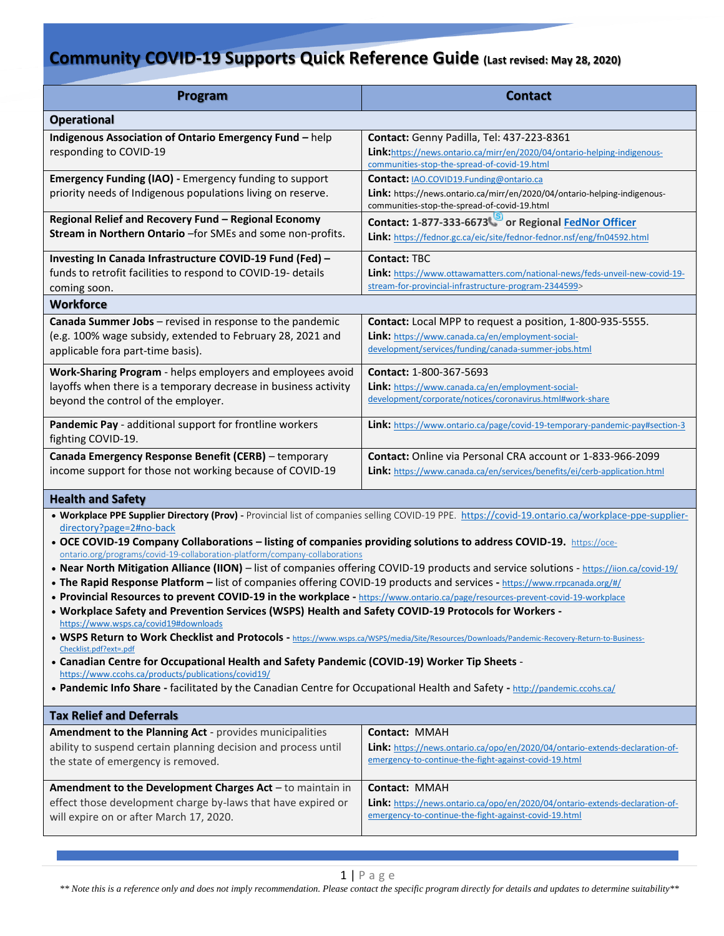## **Community COVID-19 Supports Quick Reference Guide (Last revised: May 28, 2020)**

| Program                                                                                                                                                                                                                                                                                                                                                                                                                                                                                                                                                                                                                                                                                                                                                                                                                                                                                                                                                                                                                                                                                                                                                                                                                                                                                                                                                                                                       | <b>Contact</b>                                                                                                                                                         |
|---------------------------------------------------------------------------------------------------------------------------------------------------------------------------------------------------------------------------------------------------------------------------------------------------------------------------------------------------------------------------------------------------------------------------------------------------------------------------------------------------------------------------------------------------------------------------------------------------------------------------------------------------------------------------------------------------------------------------------------------------------------------------------------------------------------------------------------------------------------------------------------------------------------------------------------------------------------------------------------------------------------------------------------------------------------------------------------------------------------------------------------------------------------------------------------------------------------------------------------------------------------------------------------------------------------------------------------------------------------------------------------------------------------|------------------------------------------------------------------------------------------------------------------------------------------------------------------------|
| <b>Operational</b>                                                                                                                                                                                                                                                                                                                                                                                                                                                                                                                                                                                                                                                                                                                                                                                                                                                                                                                                                                                                                                                                                                                                                                                                                                                                                                                                                                                            |                                                                                                                                                                        |
| Indigenous Association of Ontario Emergency Fund - help<br>responding to COVID-19                                                                                                                                                                                                                                                                                                                                                                                                                                                                                                                                                                                                                                                                                                                                                                                                                                                                                                                                                                                                                                                                                                                                                                                                                                                                                                                             | Contact: Genny Padilla, Tel: 437-223-8361<br>Link: https://news.ontario.ca/mirr/en/2020/04/ontario-helping-indigenous-<br>communities-stop-the-spread-of-covid-19.html |
| Emergency Funding (IAO) - Emergency funding to support<br>priority needs of Indigenous populations living on reserve.                                                                                                                                                                                                                                                                                                                                                                                                                                                                                                                                                                                                                                                                                                                                                                                                                                                                                                                                                                                                                                                                                                                                                                                                                                                                                         | Contact: IAO.COVID19.Funding@ontario.ca<br>Link: https://news.ontario.ca/mirr/en/2020/04/ontario-helping-indigenous-<br>communities-stop-the-spread-of-covid-19.html   |
| Regional Relief and Recovery Fund - Regional Economy<br>Stream in Northern Ontario - for SMEs and some non-profits.                                                                                                                                                                                                                                                                                                                                                                                                                                                                                                                                                                                                                                                                                                                                                                                                                                                                                                                                                                                                                                                                                                                                                                                                                                                                                           | Contact: 1-877-333-6673 or Regional FedNor Officer<br>Link: https://fednor.gc.ca/eic/site/fednor-fednor.nsf/eng/fn04592.html                                           |
| Investing In Canada Infrastructure COVID-19 Fund (Fed) -<br>funds to retrofit facilities to respond to COVID-19- details<br>coming soon.                                                                                                                                                                                                                                                                                                                                                                                                                                                                                                                                                                                                                                                                                                                                                                                                                                                                                                                                                                                                                                                                                                                                                                                                                                                                      | <b>Contact: TBC</b><br>Link: https://www.ottawamatters.com/national-news/feds-unveil-new-covid-19-<br>stream-for-provincial-infrastructure-program-2344599>            |
| <b>Workforce</b>                                                                                                                                                                                                                                                                                                                                                                                                                                                                                                                                                                                                                                                                                                                                                                                                                                                                                                                                                                                                                                                                                                                                                                                                                                                                                                                                                                                              |                                                                                                                                                                        |
| Canada Summer Jobs - revised in response to the pandemic<br>(e.g. 100% wage subsidy, extended to February 28, 2021 and<br>applicable fora part-time basis).                                                                                                                                                                                                                                                                                                                                                                                                                                                                                                                                                                                                                                                                                                                                                                                                                                                                                                                                                                                                                                                                                                                                                                                                                                                   | Contact: Local MPP to request a position, 1-800-935-5555.<br>Link: https://www.canada.ca/en/employment-social-<br>development/services/funding/canada-summer-jobs.html |
| Work-Sharing Program - helps employers and employees avoid<br>layoffs when there is a temporary decrease in business activity<br>beyond the control of the employer.                                                                                                                                                                                                                                                                                                                                                                                                                                                                                                                                                                                                                                                                                                                                                                                                                                                                                                                                                                                                                                                                                                                                                                                                                                          | Contact: 1-800-367-5693<br>Link: https://www.canada.ca/en/employment-social-<br>development/corporate/notices/coronavirus.html#work-share                              |
| Pandemic Pay - additional support for frontline workers<br>fighting COVID-19.                                                                                                                                                                                                                                                                                                                                                                                                                                                                                                                                                                                                                                                                                                                                                                                                                                                                                                                                                                                                                                                                                                                                                                                                                                                                                                                                 | Link: https://www.ontario.ca/page/covid-19-temporary-pandemic-pay#section-3                                                                                            |
| Canada Emergency Response Benefit (CERB) - temporary<br>income support for those not working because of COVID-19                                                                                                                                                                                                                                                                                                                                                                                                                                                                                                                                                                                                                                                                                                                                                                                                                                                                                                                                                                                                                                                                                                                                                                                                                                                                                              | <b>Contact:</b> Online via Personal CRA account or 1-833-966-2099<br>Link: https://www.canada.ca/en/services/benefits/ei/cerb-application.html                         |
| <b>Health and Safety</b>                                                                                                                                                                                                                                                                                                                                                                                                                                                                                                                                                                                                                                                                                                                                                                                                                                                                                                                                                                                                                                                                                                                                                                                                                                                                                                                                                                                      |                                                                                                                                                                        |
| . Workplace PPE Supplier Directory (Prov) - Provincial list of companies selling COVID-19 PPE. https://covid-19.ontario.ca/workplace-ppe-supplier-<br>directory?page=2#no-back<br>• OCE COVID-19 Company Collaborations – listing of companies providing solutions to address COVID-19. https://oce-<br>ontario.org/programs/covid-19-collaboration-platform/company-collaborations<br>• Near North Mitigation Alliance (IION) - list of companies offering COVID-19 products and service solutions - https://iion.ca/covid-19/<br>. The Rapid Response Platform - list of companies offering COVID-19 products and services - https://www.rrpcanada.org/#/<br>• Provincial Resources to prevent COVID-19 in the workplace - https://www.ontario.ca/page/resources-prevent-covid-19-workplace<br>. Workplace Safety and Prevention Services (WSPS) Health and Safety COVID-19 Protocols for Workers -<br>https://www.wsps.ca/covid19#downloads<br>• WSPS Return to Work Checklist and Protocols - https://www.wsps.ca/WSPS/media/Site/Resources/Downloads/Pandemic-Recovery-Return-to-Business-<br>Checklist.pdf?ext=.pdf<br>• Canadian Centre for Occupational Health and Safety Pandemic (COVID-19) Worker Tip Sheets -<br>https://www.ccohs.ca/products/publications/covid19/<br>• Pandemic Info Share - facilitated by the Canadian Centre for Occupational Health and Safety - http://pandemic.ccohs.ca/ |                                                                                                                                                                        |
| <b>Tax Relief and Deferrals</b>                                                                                                                                                                                                                                                                                                                                                                                                                                                                                                                                                                                                                                                                                                                                                                                                                                                                                                                                                                                                                                                                                                                                                                                                                                                                                                                                                                               |                                                                                                                                                                        |
| Amendment to the Planning Act - provides municipalities<br>ability to suspend certain planning decision and process until<br>the state of emergency is removed.                                                                                                                                                                                                                                                                                                                                                                                                                                                                                                                                                                                                                                                                                                                                                                                                                                                                                                                                                                                                                                                                                                                                                                                                                                               | <b>Contact: MMAH</b><br>Link: https://news.ontario.ca/opo/en/2020/04/ontario-extends-declaration-of-<br>emergency-to-continue-the-fight-against-covid-19.html          |
| Amendment to the Development Charges Act - to maintain in<br>effect those development charge by-laws that have expired or<br>will expire on or after March 17, 2020.                                                                                                                                                                                                                                                                                                                                                                                                                                                                                                                                                                                                                                                                                                                                                                                                                                                                                                                                                                                                                                                                                                                                                                                                                                          | <b>Contact: MMAH</b><br>Link: https://news.ontario.ca/opo/en/2020/04/ontario-extends-declaration-of-<br>emergency-to-continue-the-fight-against-covid-19.html          |

1 | P a g e

*\*\* Note this is a reference only and does not imply recommendation. Please contact the specific program directly for details and updates to determine suitability\*\**

eat  $\alpha$  this space to emphasize a key point. [Grab your reader's attention with a grab  $\alpha$